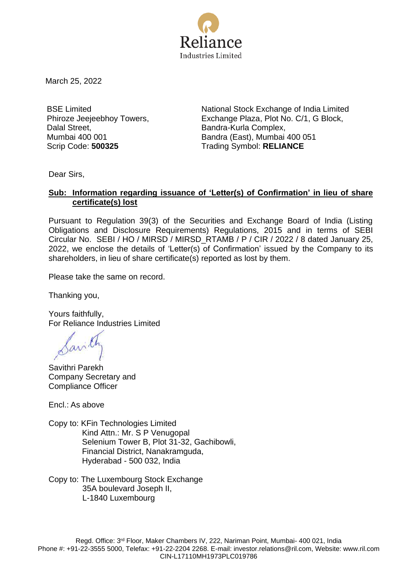

March 25, 2022

BSE Limited Phiroze Jeejeebhoy Towers, Dalal Street, Mumbai 400 001

National Stock Exchange of India Limited Exchange Plaza, Plot No. C/1, G Block, Bandra-Kurla Complex, Bandra (East), Mumbai 400 051 Scrip Code: **500325** Trading Symbol: **RELIANCE**

Dear Sirs,

## **Sub: Information regarding issuance of 'Letter(s) of Confirmation' in lieu of share certificate(s) lost**

Pursuant to Regulation 39(3) of the Securities and Exchange Board of India (Listing Obligations and Disclosure Requirements) Regulations, 2015 and in terms of SEBI Circular No. SEBI / HO / MIRSD / MIRSD\_RTAMB / P / CIR / 2022 / 8 dated January 25, 2022, we enclose the details of 'Letter(s) of Confirmation' issued by the Company to its shareholders, in lieu of share certificate(s) reported as lost by them.

Please take the same on record.

Thanking you,

Yours faithfully, For Reliance Industries Limited

Savithri Parekh Company Secretary and Compliance Officer

Encl.: As above

Copy to: KFin Technologies Limited Kind Attn.: Mr. S P Venugopal Selenium Tower B, Plot 31-32, Gachibowli, Financial District, Nanakramguda, Hyderabad - 500 032, India

Copy to: The Luxembourg Stock Exchange 35A boulevard Joseph II, L-1840 Luxembourg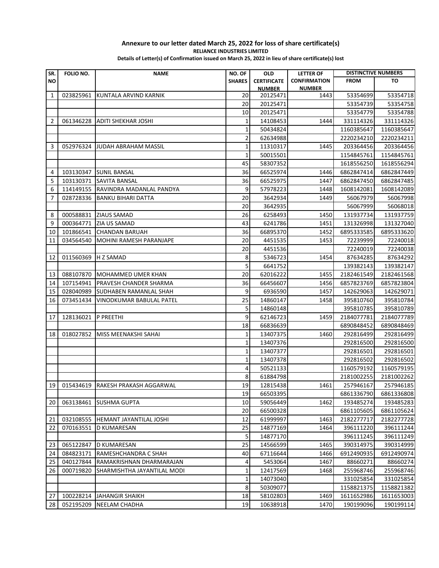## **Annexure to our letter dated March 25, 2022 for loss of share certificate(s) RELIANCE INDUSTRIES LIMITED**

**Details of Letter(s) of Confirmation issued on March 25, 2022 in lieu of share certificate(s) lost**

| SR.            | FOLIO NO. | <b>NAME</b>                       | NO. OF        | <b>OLD</b>           | <b>LETTER OF</b>    | <b>DISTINCTIVE NUMBERS</b> |                          |
|----------------|-----------|-----------------------------------|---------------|----------------------|---------------------|----------------------------|--------------------------|
| ΝO             |           |                                   | <b>SHARES</b> | <b>CERTIFICATE</b>   | <b>CONFIRMATION</b> | <b>FROM</b>                | TO                       |
|                |           |                                   |               | <b>NUMBER</b>        | <b>NUMBER</b>       |                            |                          |
| $\mathbf{1}$   | 023825961 | KUNTALA ARVIND KARNIK             | 20            | 20125471             | 1443                | 53354699                   | 53354718                 |
|                |           |                                   | 20            | 20125471             |                     | 53354739                   | 53354758                 |
|                |           |                                   | 10            | 20125471             |                     | 53354779                   | 53354788                 |
| $\overline{2}$ | 061346228 | <b>ADITI SHEKHAR JOSHI</b>        | 1             | 14108453             | 1444                | 331114326                  | 331114326                |
|                |           |                                   | 1             | 50434824             |                     | 1160385647                 | 1160385647               |
|                |           |                                   | 2             | 62634988             |                     | 2220234210                 | 2220234211               |
| 3              | 052976324 | <b>JUDAH ABRAHAM MASSIL</b>       | $\mathbf 1$   | 11310317             | 1445                | 203364456                  | 203364456                |
|                |           |                                   | $\mathbf{1}$  | 50015501             |                     | 1154845761                 | 1154845761               |
|                |           |                                   | 45            | 58307352             |                     | 1618556250                 | 1618556294               |
| 4              | 103130347 | <b>SUNIL BANSAL</b>               | 36            | 66525974             | 1446                | 6862847414                 | 6862847449               |
| 5              | 103130371 | SAVITA BANSAL                     | 36            | 66525975             | 1447                | 6862847450                 | 6862847485               |
| 6              | 114149155 | RAVINDRA MADANLAL PANDYA          | 9             | 57978223             | 1448                | 1608142081                 | 1608142089               |
| 7              | 028728336 | BANKU BIHARI DATTA                | 20            | 3642934              | 1449                | 56067979                   | 56067998                 |
|                |           |                                   | 20            | 3642935              |                     | 56067999                   | 56068018                 |
| 8              | 000588831 | <b>ZIAUS SAMAD</b>                | 26            | 6258493              | 1450                | 131937734                  | 131937759                |
| 9              | 000364771 | ZIA US SAMAD                      | 43            | 6241786              | 1451                | 131326998                  | 131327040                |
| 10             | 101866541 | <b>CHANDAN BARUAH</b>             | 36            | 66895370             | 1452                | 6895333585                 | 6895333620               |
| 11             | 034564540 | MOHINI RAMESH PARANJAPE           | 20            | 4451535              | 1453                | 72239999                   | 72240018                 |
|                |           |                                   | 20            | 4451536              |                     | 72240019                   | 72240038                 |
| 12             | 011560369 | H Z SAMAD                         | 8             | 5346723              | 1454                | 87634285                   | 87634292                 |
|                |           |                                   | 5             | 6641752              |                     | 139382143                  | 139382147                |
| 13             | 088107870 | <b>MOHAMMED UMER KHAN</b>         | 20            | 62016222             | 1455                | 2182461549                 | 2182461568               |
| 14             | 107154941 | PRAVESH CHANDER SHARMA            | 36            | 66456607             | 1456                | 6857823769                 | 6857823804               |
| 15             | 028040989 | SUDHABEN RAMANLAL SHAH            | 9             | 6936590              | 1457                | 142629063                  | 142629071                |
| 16             | 073451434 | VINODKUMAR BABULAL PATEL          | 25            | 14860147             | 1458                | 395810760                  | 395810784                |
|                |           |                                   | 5             | 14860148             |                     | 395810785                  | 395810789                |
| 17             | 128136021 | P PREETHI                         | 9             | 62146723             | 1459                | 2184077781                 | 2184077789               |
|                |           |                                   | 18            | 66836639             |                     | 6890848452                 | 6890848469               |
| 18             | 018027852 | MISS MEENAKSHI SAHAI              | 1             | 13407375             | 1460                | 292816499                  | 292816499                |
|                |           |                                   | 1             | 13407376             |                     | 292816500                  | 292816500                |
|                |           |                                   | $\mathbf 1$   | 13407377             |                     | 292816501                  | 292816501                |
|                |           |                                   | 1             | 13407378             |                     | 292816502                  | 292816502                |
|                |           |                                   | 4             | 50521133             |                     | 1160579192                 | 1160579195               |
|                |           |                                   | 8             | 61884798             |                     | 2181002255                 | 2181002262               |
| 19             |           | 015434619 RAKESH PRAKASH AGGARWAL | 19            | 12815438             | 1461                | 257946167                  | 257946185                |
|                |           |                                   | 19            | 66503395             |                     | 6861336790                 | 6861336808               |
| 20             | 063138461 | <b>SUSHMA GUPTA</b>               | 10            | 59056449             | 1462                | 193485274                  | 193485283                |
|                |           |                                   | 20            | 66500328             |                     | 6861105605                 | 6861105624               |
| 21             | 032108555 | HEMANT JAYANTILAL JOSHI           | 12            | 61999997             | 1463                | 2182277717                 | 2182277728               |
| 22             | 070163551 | D KUMARESAN                       | 25            | 14877169             | 1464                | 396111220                  | 396111244                |
|                |           |                                   | 5             | 14877170             |                     | 396111245                  | 396111249                |
| 23             | 065122847 | <b>D KUMARESAN</b>                | 25            | 14566599             | 1465                | 390314975                  | 390314999                |
| 24             | 084823171 | RAMESHCHANDRA C SHAH              | 40            | 67116644             | 1466                | 6912490935                 | 6912490974               |
| 25             | 040127844 | RAMAKRISHNAN DHARMARAJAN          | 4             | 5453064              | 1467                | 88660271                   | 88660274                 |
| 26             | 000719820 | SHARMISHTHA JAYANTILAL MODI       | 1             | 12417569             | 1468                | 255968746                  | 255968746                |
|                |           |                                   | $\mathbf 1$   | 14073040<br>50309077 |                     | 331025854<br>1158821375    | 331025854                |
| 27             | 100228214 | <b>JAHANGIR SHAIKH</b>            | 8<br>18       | 58102803             | 1469                | 1611652986                 | 1158821382<br>1611653003 |
| 28             | 052195209 | NEELAM CHADHA                     | 19            | 10638918             | 1470                | 190199096                  | 190199114                |
|                |           |                                   |               |                      |                     |                            |                          |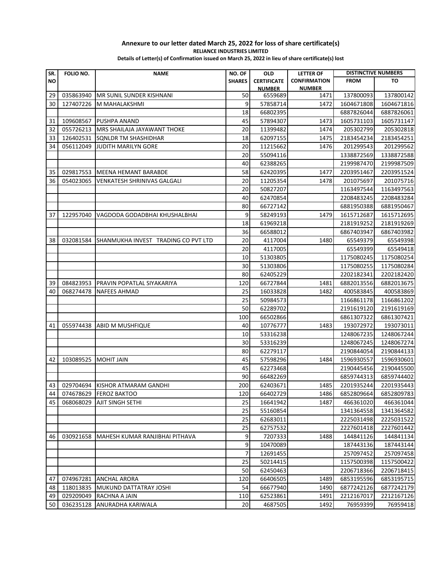## **Annexure to our letter dated March 25, 2022 for loss of share certificate(s) RELIANCE INDUSTRIES LIMITED**

**Details of Letter(s) of Confirmation issued on March 25, 2022 in lieu of share certificate(s) lost**

| SR. | FOLIO NO. | <b>NAME</b>                         | NO. OF        | <b>OLD</b>         | <b>LETTER OF</b>    | <b>DISTINCTIVE NUMBERS</b> |            |
|-----|-----------|-------------------------------------|---------------|--------------------|---------------------|----------------------------|------------|
| NO  |           |                                     | <b>SHARES</b> | <b>CERTIFICATE</b> | <b>CONFIRMATION</b> | <b>FROM</b>                | TO         |
|     |           |                                     |               | <b>NUMBER</b>      | <b>NUMBER</b>       |                            |            |
| 29  | 035863940 | <b>MR SUNIL SUNDER KISHNANI</b>     | 50            | 6559689            | 1471                | 137800093                  | 137800142  |
| 30  | 127407226 | M MAHALAKSHMI                       | 9             | 57858714           | 1472                | 1604671808                 | 1604671816 |
|     |           |                                     | 18            | 66802395           |                     | 6887826044                 | 6887826061 |
| 31  | 109608567 | <b>PUSHPA ANAND</b>                 | 45            | 57894307           | 1473                | 1605731103                 | 1605731147 |
| 32  | 055726213 | MRS SHAILAJA JAYAWANT THOKE         | 20            | 11399482           | 1474                | 205302799                  | 205302818  |
| 33  | 126402531 | SQNLDR TM SHASHIDHAR                | 18            | 62097155           | 1475                | 2183454234                 | 2183454251 |
| 34  | 056112049 | <b>JUDITH MARILYN GORE</b>          | 20            | 11215662           | 1476                | 201299543                  | 201299562  |
|     |           |                                     | 20            | 55094116           |                     | 1338872569                 | 1338872588 |
|     |           |                                     | 40            | 62388265           |                     | 2199987470                 | 2199987509 |
| 35  | 029817553 | <b>MEENA HEMANT BARABDE</b>         | 58            | 62420395           | 1477                | 2203951467                 | 2203951524 |
| 36  | 054023065 | VENKATESH SHRINIVAS GALGALI         | 20            | 11205354           | 1478                | 201075697                  | 201075716  |
|     |           |                                     | 20            | 50827207           |                     | 1163497544                 | 1163497563 |
|     |           |                                     | 40            | 62470854           |                     | 2208483245                 | 2208483284 |
|     |           |                                     | 80            | 66727142           |                     | 6881950388                 | 6881950467 |
| 37  | 122957040 | VAGDODA GODADBHAI KHUSHALBHAI       | 9             | 58249193           | 1479                | 1615712687                 | 1615712695 |
|     |           |                                     | 18            | 61969218           |                     | 2181919252                 | 2181919269 |
|     |           |                                     | 36            | 66588012           |                     | 6867403947                 | 6867403982 |
| 38  | 032081584 | SHANMUKHA INVEST TRADING CO PVT LTD | 20            | 4117004            | 1480                | 65549379                   | 65549398   |
|     |           |                                     | 20            | 4117005            |                     | 65549399                   | 65549418   |
|     |           |                                     | 10            | 51303805           |                     | 1175080245                 | 1175080254 |
|     |           |                                     | 30            | 51303806           |                     | 1175080255                 | 1175080284 |
|     |           |                                     | 80            | 62405229           |                     | 2202182341                 | 2202182420 |
| 39  | 084823953 | PRAVIN POPATLAL SIYAKARIYA          | 120           | 66727844           | 1481                | 6882013556                 | 6882013675 |
| 40  | 068274478 | <b>NAFEES AHMAD</b>                 | 25            | 16033828           | 1482                | 400583845                  | 400583869  |
|     |           |                                     | 25            | 50984573           |                     | 1166861178                 | 1166861202 |
|     |           |                                     | 50            | 62289702           |                     | 2191619120                 | 2191619169 |
|     |           |                                     | 100           | 66502866           |                     | 6861307322                 | 6861307421 |
| 41  | 055974438 | <b>ABID M MUSHFIQUE</b>             | 40            | 10776777           | 1483                | 193072972                  | 193073011  |
|     |           |                                     | 10            | 53316238           |                     | 1248067235                 | 1248067244 |
|     |           |                                     | 30            | 53316239           |                     | 1248067245                 | 1248067274 |
|     |           |                                     | 80            | 62279117           |                     | 2190844054                 | 2190844133 |
| 42  | 103089525 | <b>MOHIT JAIN</b>                   | 45            | 57598296           | 1484                | 1596930557                 | 1596930601 |
|     |           |                                     | 45            | 62273468           |                     | 2190445456                 | 2190445500 |
|     |           |                                     | 90            | 66482269           |                     | 6859744313                 | 6859744402 |
| 43  |           | 029704694 KISHOR ATMARAM GANDHI     | 200           | 62403671           | 1485                | 2201935244                 | 2201935443 |
| 44  |           | 074678629 FEROZ BAKTOO              | 120           | 66402729           | 1486                | 6852809664                 | 6852809783 |
| 45  | 068068029 | AJIT SINGH SETHI                    | 25            | 16641942           | 1487                | 466361020                  | 466361044  |
|     |           |                                     | 25            | 55160854           |                     | 1341364558                 | 1341364582 |
|     |           |                                     | 25            | 62683011           |                     | 2225031498                 | 2225031522 |
|     |           |                                     | 25            | 62757532           |                     | 2227601418                 | 2227601442 |
| 46  | 030921658 | MAHESH KUMAR RANJIBHAI PITHAVA      | 9             | 7207333            | 1488                | 144841126                  | 144841134  |
|     |           |                                     | 9             | 10470089           |                     | 187443136                  | 187443144  |
|     |           |                                     | 7             | 12691455           |                     | 257097452                  | 257097458  |
|     |           |                                     | 25            | 50214415           |                     | 1157500398                 | 1157500422 |
|     |           |                                     | 50            | 62450463           |                     | 2206718366                 | 2206718415 |
| 47  | 074967281 | <b>ANCHAL ARORA</b>                 | 120           | 66406505           | 1489                | 6853195596                 | 6853195715 |
| 48  | 118013835 | MUKUND DATTATRAY JOSHI              | 54            | 66677940           | 1490                | 6877242126                 | 6877242179 |
| 49  | 029209049 | RACHNA A JAIN                       | 110           | 62523861           | 1491                | 2212167017                 | 2212167126 |
| 50  | 036235128 | ANURADHA KARIWALA                   | 20            | 4687505            | 1492                | 76959399                   | 76959418   |